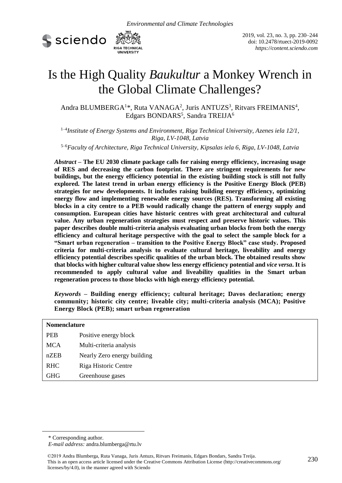



2019, vol. 23, no. 3, pp. 230–244 doi: 10.2478/rtuect-2019-0092 *https://content.sciendo.com* 

# Is the High Quality *Baukultur* a Monkey Wrench in the Global Climate Challenges?

Andra BLUMBERGA<sup>1\*</sup>, Ruta VANAGA<sup>2</sup>, Juris ANTUZS<sup>3</sup>, Ritvars FREIMANIS<sup>4</sup>, Edgars BONDARS<sup>5</sup>, Sandra TREIJA<sup>6</sup>

1–4 *Institute of Energy Systems and Environment, Riga Technical University, Azenes iela 12/1, Riga, LV-1048, Latvia*

5–6*Faculty of Architecture, Riga Technical University, K[ipsalas iela 6, Riga,](https://www.google.lv/maps/place/%C4%B6%C4%ABpsalas+iela+6,+Kurzemes+rajons,+R%C4%ABga,+LV-1048/@56.9533611,24.0802535,17z/data=!3m1!4b1!4m5!3m4!1s0x46eecfe0c0444b69:0x9001e687791a7ab9!8m2!3d56.9533582!4d24.0824422?hl=en) LV-1048, Latvia*

*Abstract* **– The EU 2030 climate package calls for raising energy efficiency, increasing usage of RES and decreasing the carbon footprint. There are stringent requirements for new buildings, but the energy efficiency potential in the existing building stock is still not fully explored. The latest trend in urban energy efficiency is the Positive Energy Block (PEB) strategies for new developments. It includes raising building energy efficiency, optimizing energy flow and implementing renewable energy sources (RES). Transforming all existing blocks in a city centre to a PEB would radically change the pattern of energy supply and consumption. European cities have historic centres with great architectural and cultural value. Any urban regeneration strategies must respect and preserve historic values. This paper describes double multi-criteria analysis evaluating urban blocks from both the energy efficiency and cultural heritage perspective with the goal to select the sample block for a "Smart urban regeneration – transition to the Positive Energy Block" case study. Proposed criteria for multi-criteria analysis to evaluate cultural heritage, liveability and energy efficiency potential describes specific qualities of the urban block. The obtained results show that blocks with higher cultural value show less energy efficiency potential and** *vice versa***. It is recommended to apply cultural value and liveability qualities in the Smart urban regeneration process to those blocks with high energy efficiency potential.**

*Keywords* **– Building energy efficiency; cultural heritage; Davos declaration; energy community; historic city centre; liveable city; multi-criteria analysis (MCA); Positive Energy Block (PEB); smart urban regeneration**

| <b>Nomenclature</b> |                             |  |
|---------------------|-----------------------------|--|
| <b>PEB</b>          | Positive energy block       |  |
| <b>MCA</b>          | Multi-criteria analysis     |  |
| nZEB                | Nearly Zero energy building |  |
| <b>RHC</b>          | Riga Historic Centre        |  |
| <b>GHG</b>          | Greenhouse gases            |  |

-

<sup>\*</sup> Corresponding author.

*E-mail address:* andra.blumberga@rtu.lv

<sup>230</sup> ©2019 Andra Blumberga, Ruta Vanaga, Juris Antuzs, Ritvars Freimanis, Edgars Bondars, Sandra Treija. This is an open access article licensed under the Creative Commons Attribution License (http://creativecommons.org/ licenses/by/4.0), in the manner agreed with Sciendo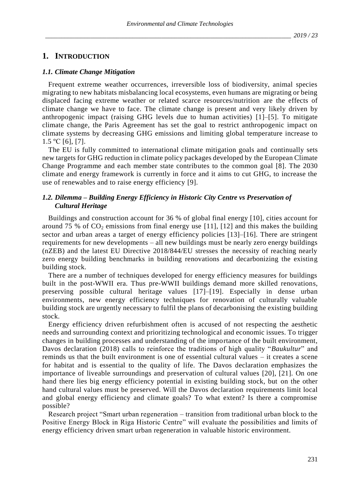# **1. INTRODUCTION**

#### *1.1. Climate Change Mitigation*

Frequent extreme weather occurrences, irreversible loss of biodiversity, animal species migrating to new habitats misbalancing local ecosystems, even humans are migrating or being displaced facing extreme weather or related scarce resources/nutrition are the effects of climate change we have to face. The climate change is present and very likely driven by anthropogenic impact (raising GHG levels due to human activities) [1]–[5]. To mitigate climate change, the Paris Agreement has set the goal to restrict anthropogenic impact on climate systems by decreasing GHG emissions and limiting global temperature increase to  $1.5 °C$  [6], [7].

The EU is fully committed to international climate mitigation goals and continually sets new targets for GHG reduction in climate policy packages developed by the European Climate Change Programme and each member state contributes to the common goal [8]. The 2030 climate and energy framework is currently in force and it aims to cut GHG, to increase the use of renewables and to raise energy efficiency [9].

### *1.2. Dilemma – Building Energy Efficiency in Historic City Centre vs Preservation of Cultural Heritage*

Buildings and construction account for 36 % of global final energy [10], cities account for around 75 % of  $CO_2$  emissions from final energy use [11], [12] and this makes the building sector and urban areas a target of energy efficiency policies [13]–[16]. There are stringent requirements for new developments – all new buildings must be nearly zero energy buildings (nZEB) and the latest EU Directive 2018/844/EU stresses the necessity of reaching nearly zero energy building benchmarks in building renovations and decarbonizing the existing building stock.

There are a number of techniques developed for energy efficiency measures for buildings built in the post-WWII era. Thus pre-WWII buildings demand more skilled renovations, preserving possible cultural heritage values [17]–[19]. Especially in dense urban environments, new energy efficiency techniques for renovation of culturally valuable building stock are urgently necessary to fulfil the plans of decarbonising the existing building stock.

Energy efficiency driven refurbishment often is accused of not respecting the aesthetic needs and surrounding context and prioritizing technological and economic issues. To trigger changes in building processes and understanding of the importance of the built environment, Davos declaration (2018) calls to reinforce the traditions of high quality "*Baukultur*" and reminds us that the built environment is one of essential cultural values – it creates a scene for habitat and is essential to the quality of life. The Davos declaration emphasizes the importance of liveable surroundings and preservation of cultural values [20], [21]. On one hand there lies big energy efficiency potential in existing building stock, but on the other hand cultural values must be preserved. Will the Davos declaration requirements limit local and global energy efficiency and climate goals? To what extent? Is there a compromise possible?

Research project "Smart urban regeneration – transition from traditional urban block to the Positive Energy Block in Riga Historic Centre" will evaluate the possibilities and limits of energy efficiency driven smart urban regeneration in valuable historic environment.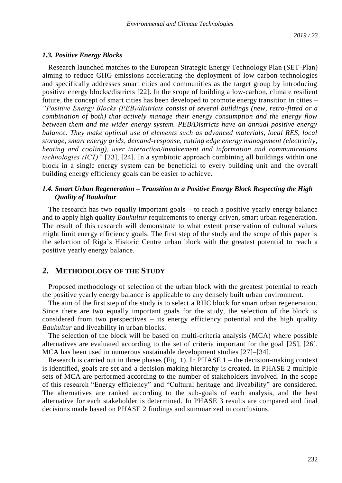#### *1.3. Positive Energy Blocks*

Research launched matches to the European Strategic Energy Technology Plan (SET-Plan) aiming to reduce GHG emissions accelerating the deployment of low-carbon technologies and specifically addresses smart cities and communities as the target group by introducing positive energy blocks/districts [22]. In the scope of [building a low-carbon, climate resilient](javascript:;)  [future,](javascript:;) the concept of smart cities has been developed to promote energy transition in cities – *"Positive Energy Blocks (PEB)/districts consist of several buildings (new, retro-fitted or a combination of both) that actively manage their energy consumption and the energy flow between them and the wider energy system. PEB/Districts have an annual positive energy balance. They make optimal use of elements such as advanced materials, local RES, local storage, smart energy grids, demand-response, cutting edge energy management (electricity, heating and cooling), user interaction/involvement and information and communications technologies (ICT)"* [23], [24]*.* In a symbiotic approach combining all buildings within one block in a single energy system can be beneficial to every building unit and the overall building energy efficiency goals can be easier to achieve.

# *1.4. Smart Urban Regeneration – Transition to a Positive Energy Block Respecting the High Quality of Baukultur*

The research has two equally important goals – to reach a positive yearly energy balance and to apply high quality *Baukultur* requirements to energy-driven, smart urban regeneration. The result of this research will demonstrate to what extent preservation of cultural values might limit energy efficiency goals. The first step of the study and the scope of this paper is the selection of Riga's Historic Centre urban block with the greatest potential to reach a positive yearly energy balance.

# **2. METHODOLOGY OF THE STUDY**

Proposed methodology of selection of the urban block with the greatest potential to reach the positive yearly energy balance is applicable to any densely built urban environment.

The aim of the first step of the study is to select a RHC block for smart urban regeneration. Since there are two equally important goals for the study, the selection of the block is considered from two perspectives – its energy efficiency potential and the high quality *Baukultur* and liveability in urban blocks.

The selection of the block will be based on multi-criteria analysis (MCA) where possible alternatives are evaluated according to the set of criteria important for the goal [25], [26]. MCA has been used in numerous sustainable development studies [27]–[34].

Research is carried out in three phases (Fig. 1). In PHASE  $1$  – the decision-making context is identified, goals are set and a decision-making hierarchy is created. In PHASE 2 multiple sets of MCA are performed according to the number of stakeholders involved. In the scope of this research "Energy efficiency" and "Cultural heritage and liveability" are considered. The alternatives are ranked according to the sub-goals of each analysis, and the best alternative for each stakeholder is determined. In PHASE 3 results are compared and final decisions made based on PHASE 2 findings and summarized in conclusions.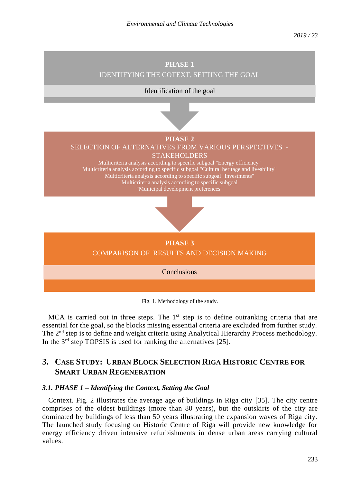

Fig. 1. Methodology of the study.

MCA is carried out in three steps. The  $1<sup>st</sup>$  step is to define outranking criteria that are essential for the goal, so the blocks missing essential criteria are excluded from further study. The 2<sup>nd</sup> step is to define and weight criteria using Analytical Hierarchy Process methodology. In the  $3<sup>rd</sup>$  step TOPSIS is used for ranking the alternatives [25].

# **3. CASE STUDY: URBAN BLOCK SELECTION RIGA HISTORIC CENTRE FOR SMART URBAN REGENERATION**

#### *3.1. PHASE 1 – Identifying the Context, Setting the Goal*

Context. Fig. 2 illustrates the average age of buildings in Riga city [35]. The city centre comprises of the oldest buildings (more than 80 years), but the outskirts of the city are dominated by buildings of less than 50 years illustrating the expansion waves of Riga city. The launched study focusing on Historic Centre of Riga will provide new knowledge for energy efficiency driven intensive refurbishments in dense urban areas carrying cultural values.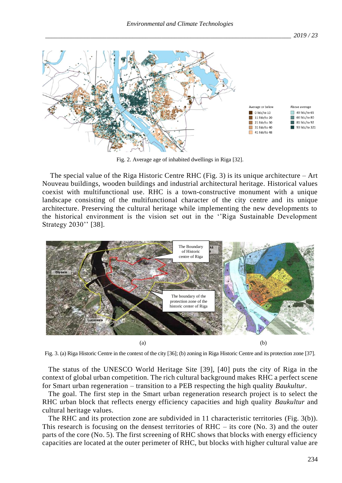

Fig. 2. Average age of inhabited dwellings in Riga [32].

The special value of the Riga Historic Centre RHC (Fig. 3) is its unique architecture – Art Nouveau buildings, wooden buildings and industrial architectural heritage. Historical values coexist with multifunctional use. RHC is a town-constructive monument with a unique landscape consisting of the multifunctional character of the city centre and its unique architecture. Preserving the cultural heritage while implementing the new developments to the historical environment is the vision set out in the ''Riga Sustainable Development Strategy 2030'' [38].



Fig. 3. (a) Riga Historic Centre in the context of the city [36]; (b) zoning in Riga Historic Centre and its protection zone [37].

The status of the UNESCO World Heritage Site [39], [40] puts the city of Riga in the context of global urban competition. The rich cultural background makes RHC a perfect scene for Smart urban regeneration – transition to a PEB respecting the high quality *Baukultur*.

The goal. The first step in the Smart urban regeneration research project is to select the RHC urban block that reflects energy efficiency capacities and high quality *Baukultur* and cultural heritage values.

The RHC and its protection zone are subdivided in 11 characteristic territories (Fig. 3(b)). This research is focusing on the densest territories of RHC  $-$  its core (No. 3) and the outer parts of the core (No. 5). The first screening of RHC shows that blocks with energy efficiency capacities are located at the outer perimeter of RHC, but blocks with higher cultural value are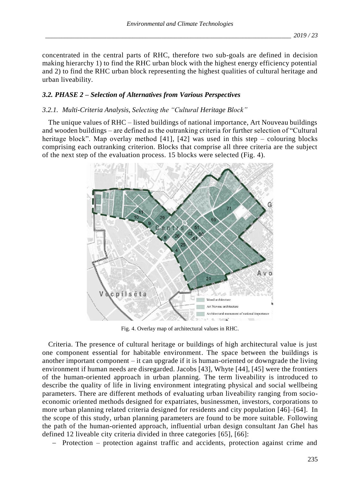concentrated in the central parts of RHC, therefore two sub-goals are defined in decision making hierarchy 1) to find the RHC urban block with the highest energy efficiency potential and 2) to find the RHC urban block representing the highest qualities of cultural heritage and urban liveability.

# *3.2. PHASE 2 – Selection of Alternatives from Various Perspectives*

# *3.2.1. Multi-Criteria Analysis, Selecting the "Cultural Heritage Block"*

The unique values of RHC – listed buildings of national importance, Art Nouveau buildings and wooden buildings – are defined as the outranking criteria for further selection of "Cultural heritage block". Map overlay method  $[41]$ ,  $[42]$  was used in this step – colouring blocks comprising each outranking criterion. Blocks that comprise all three criteria are the subject of the next step of the evaluation process. 15 blocks were selected (Fig. 4).



Fig. 4. Overlay map of architectural values in RHC.

Criteria. The presence of cultural heritage or buildings of high architectural value is just one component essential for habitable environment. The space between the buildings is another important component – it can upgrade if it is human-oriented or downgrade the living environment if human needs are disregarded. Jacobs [43], Whyte [44], [45] were the frontiers of the human-oriented approach in urban planning. The term liveability is introduced to describe the quality of life in living environment integrating physical and social wellbeing parameters. There are different methods of evaluating urban liveability ranging from socioeconomic oriented methods designed for expatriates, businessmen, investors, corporations to more urban planning related criteria designed for residents and city population [46]–[64]. In the scope of this study, urban planning parameters are found to be more suitable. Following the path of the human-oriented approach, influential urban design consultant Jan Ghel has defined 12 liveable city criteria divided in three categories [65], [66]:

− Protection – protection against traffic and accidents, protection against crime and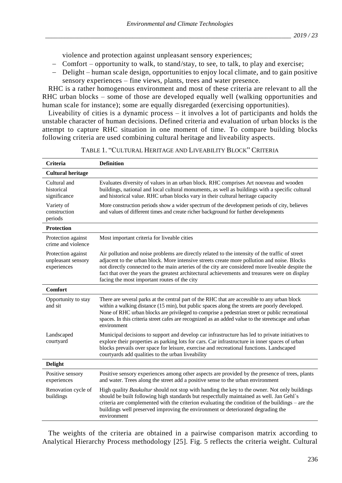violence and protection against unpleasant sensory experiences;

- − Comfort opportunity to walk, to stand/stay, to see, to talk, to play and exercise;
- − Delight human scale design, opportunities to enjoy local climate, and to gain positive sensory experiences – fine views, plants, trees and water presence.

RHC is a rather homogenous environment and most of these criteria are relevant to all the RHC urban blocks – some of those are developed equally well (walking opportunities and human scale for instance); some are equally disregarded (exercising opportunities).

Liveability of cities is a dynamic process – it involves a lot of participants and holds the unstable character of human decisions. Defined criteria and evaluation of urban blocks is the attempt to capture RHC situation in one moment of time. To compare building blocks following criteria are used combining cultural heritage and liveability aspects.

| Criteria                                                | <b>Definition</b>                                                                                                                                                                                                                                                                                                                                                                                                                                    |
|---------------------------------------------------------|------------------------------------------------------------------------------------------------------------------------------------------------------------------------------------------------------------------------------------------------------------------------------------------------------------------------------------------------------------------------------------------------------------------------------------------------------|
| <b>Cultural heritage</b>                                |                                                                                                                                                                                                                                                                                                                                                                                                                                                      |
| Cultural and<br>historical<br>significance              | Evaluates diversity of values in an urban block. RHC comprises Art nouveau and wooden<br>buildings, national and local cultural monuments, as well as buildings with a specific cultural<br>and historical value. RHC urban blocks vary in their cultural heritage capacity                                                                                                                                                                          |
| Variety of<br>construction<br>periods                   | More construction periods show a wider spectrum of the development periods of city, believes<br>and values of different times and create richer background for further developments                                                                                                                                                                                                                                                                  |
| <b>Protection</b>                                       |                                                                                                                                                                                                                                                                                                                                                                                                                                                      |
| Protection against<br>crime and violence                | Most important criteria for liveable cities                                                                                                                                                                                                                                                                                                                                                                                                          |
| Protection against<br>unpleasant sensory<br>experiences | Air pollution and noise problems are directly related to the intensity of the traffic of street<br>adjacent to the urban block. More intensive streets create more pollution and noise. Blocks<br>not directly connected to the main arteries of the city are considered more liveable despite the<br>fact that over the years the greatest architectural achievements and treasures were on display<br>facing the most important routes of the city |
| <b>Comfort</b>                                          |                                                                                                                                                                                                                                                                                                                                                                                                                                                      |
| Opportunity to stay<br>and sit                          | There are several parks at the central part of the RHC that are accessible to any urban block<br>within a walking distance (15 min), but public spaces along the streets are poorly developed.<br>None of RHC urban blocks are privileged to comprise a pedestrian street or public recreational<br>spaces. In this criteria street cafes are recognized as an added value to the streetscape and urban<br>environment                               |
| Landscaped<br>courtyard                                 | Municipal decisions to support and develop car infrastructure has led to private initiatives to<br>explore their properties as parking lots for cars. Car infrastructure in inner spaces of urban<br>blocks prevails over space for leisure, exercise and recreational functions. Landscaped<br>courtyards add qualities to the urban liveability                                                                                                    |
| <b>Delight</b>                                          |                                                                                                                                                                                                                                                                                                                                                                                                                                                      |
| Positive sensory<br>experiences                         | Positive sensory experiences among other aspects are provided by the presence of trees, plants<br>and water. Trees along the street add a positive sense to the urban environment                                                                                                                                                                                                                                                                    |
| Renovation cycle of<br>buildings                        | High quality <i>Baukultur</i> should not stop with handing the key to the owner. Not only buildings<br>should be built following high standards but respectfully maintained as well. Jan Gehl's<br>criteria are complemented with the criterion evaluating the condition of the buildings – are the<br>buildings well preserved improving the environment or deteriorated degrading the<br>environment                                               |

TABLE 1. "CULTURAL HERITAGE AND LIVEABILITY BLOCK" CRITERIA

The weights of the criteria are obtained in a pairwise comparison matrix according to Analytical Hierarchy Process methodology [25]. Fig. 5 reflects the criteria weight. Cultural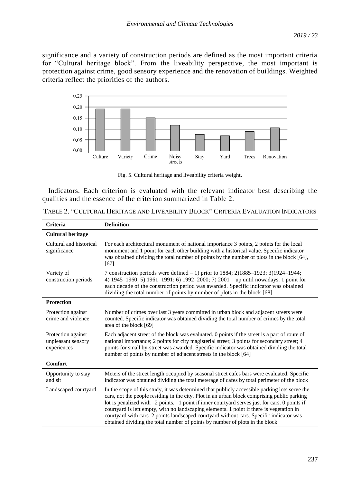significance and a variety of construction periods are defined as the most important criteria for "Cultural heritage block". From the liveability perspective, the most important is protection against crime, good sensory experience and the renovation of buildings. Weighted criteria reflect the priorities of the authors.



Fig. 5. Cultural heritage and liveability criteria weight.

Indicators. Each criterion is evaluated with the relevant indicator best describing the qualities and the essence of the criterion summarized in Table 2.

TABLE 2. "CULTURAL HERITAGE AND LIVEABILITY BLOCK" CRITERIA EVALUATION INDICATORS

| Criteria                                                | <b>Definition</b>                                                                                                                                                                                                                                                                                                                                                                                                                                                                                                                                                          |
|---------------------------------------------------------|----------------------------------------------------------------------------------------------------------------------------------------------------------------------------------------------------------------------------------------------------------------------------------------------------------------------------------------------------------------------------------------------------------------------------------------------------------------------------------------------------------------------------------------------------------------------------|
| <b>Cultural heritage</b>                                |                                                                                                                                                                                                                                                                                                                                                                                                                                                                                                                                                                            |
| Cultural and historical<br>significance                 | For each architectural monument of national importance 3 points, 2 points for the local<br>monument and 1 point for each other building with a historical value. Specific indicator<br>was obtained dividing the total number of points by the number of plots in the block [64],<br>[67]                                                                                                                                                                                                                                                                                  |
| Variety of<br>construction periods                      | 7 construction periods were defined $-1$ ) prior to 1884; 2)1885–1923; 3)1924–1944;<br>4) $1945-1960$ ; 5) $1961-1991$ ; 6) $1992-2000$ ; 7) $2001$ – up until nowadays. 1 point for<br>each decade of the construction period was awarded. Specific indicator was obtained<br>dividing the total number of points by number of plots in the block [68]                                                                                                                                                                                                                    |
| <b>Protection</b>                                       |                                                                                                                                                                                                                                                                                                                                                                                                                                                                                                                                                                            |
| Protection against<br>crime and violence                | Number of crimes over last 3 years committed in urban block and adjacent streets were<br>counted. Specific indicator was obtained dividing the total number of crimes by the total<br>area of the block [69]                                                                                                                                                                                                                                                                                                                                                               |
| Protection against<br>unpleasant sensory<br>experiences | Each adjacent street of the block was evaluated. 0 points if the street is a part of route of<br>national importance; 2 points for city magisterial street; 3 points for secondary street; 4<br>points for small by-street was awarded. Specific indicator was obtained dividing the total<br>number of points by number of adjacent streets in the block [64]                                                                                                                                                                                                             |
| <b>Comfort</b>                                          |                                                                                                                                                                                                                                                                                                                                                                                                                                                                                                                                                                            |
| Opportunity to stay<br>and sit                          | Meters of the street length occupied by seasonal street cafes bars were evaluated. Specific<br>indicator was obtained dividing the total meterage of cafes by total perimeter of the block                                                                                                                                                                                                                                                                                                                                                                                 |
| Landscaped courtyard                                    | In the scope of this study, it was determined that publicly accessible parking lots serve the<br>cars, not the people residing in the city. Plot in an urban block comprising public parking<br>lot is penalized with $-2$ points. $-1$ point if inner courty and serves just for cars. 0 points if<br>courtyard is left empty, with no landscaping elements. 1 point if there is vegetation in<br>courtyard with cars. 2 points landscaped courtyard without cars. Specific indicator was<br>obtained dividing the total number of points by number of plots in the block |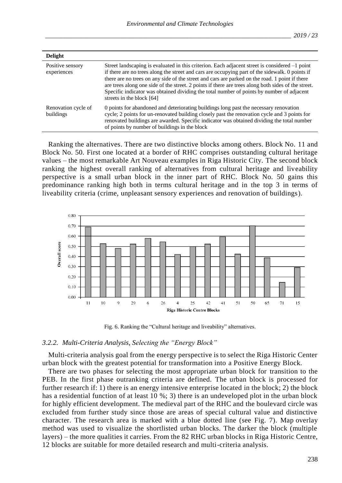| <b>Delight</b>                   |                                                                                                                                                                                                                                                                                                                                                                                                                                                                                                                                        |
|----------------------------------|----------------------------------------------------------------------------------------------------------------------------------------------------------------------------------------------------------------------------------------------------------------------------------------------------------------------------------------------------------------------------------------------------------------------------------------------------------------------------------------------------------------------------------------|
| Positive sensory<br>experiences  | Street landscaping is evaluated in this criterion. Each adjacent street is considered $-1$ point<br>if there are no trees along the street and cars are occupying part of the sidewalk. O points if<br>there are no trees on any side of the street and cars are parked on the road. 1 point if there<br>are trees along one side of the street. 2 points if there are trees along both sides of the street.<br>Specific indicator was obtained dividing the total number of points by number of adjacent<br>streets in the block [64] |
| Renovation cycle of<br>buildings | 0 points for abandoned and deteriorating buildings long past the necessary renovation<br>cycle; 2 points for un-renovated building closely past the renovation cycle and 3 points for<br>renovated buildings are awarded. Specific indicator was obtained dividing the total number<br>of points by number of buildings in the block                                                                                                                                                                                                   |

Ranking the alternatives. There are two distinctive blocks among others. Block No. 11 and Block No. 50. First one located at a border of RHC comprises outstanding cultural heritage values – the most remarkable Art Nouveau examples in Riga Historic City. The second block ranking the highest overall ranking of alternatives from cultural heritage and liveability perspective is a small urban block in the inner part of RHC. Block No. 50 gains this predominance ranking high both in terms cultural heritage and in the top 3 in terms of liveability criteria (crime, unpleasant sensory experiences and renovation of buildings).



Fig. 6. Ranking the "Cultural heritage and liveability" alternatives.

#### *3.2.2. Multi-Criteria Analysis, Selecting the "Energy Block"*

Multi-criteria analysis goal from the energy perspective is to select the Riga Historic Center urban block with the greatest potential for transformation into a Positive Energy Block.

There are two phases for selecting the most appropriate urban block for transition to the PEB. In the first phase outranking criteria are defined. The urban block is processed for further research if: 1) there is an energy intensive enterprise located in the block; 2) the block has a residential function of at least 10 %; 3) there is an undeveloped plot in the urban block for highly efficient development. The medieval part of the RHC and the boulevard circle was excluded from further study since those are areas of special cultural value and distinctive character. The research area is marked with a blue dotted line (see Fig. 7). Map overlay method was used to visualize the shortlisted urban blocks. The darker the block (multiple layers) – the more qualities it carries. From the 82 RHC urban blocks in Riga Historic Centre, 12 blocks are suitable for more detailed research and multi-criteria analysis.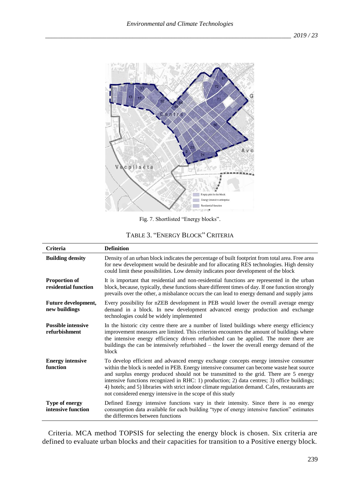

Fig. 7. Shortlisted "Energy blocks".

| <b>Criteria</b>                              | <b>Definition</b>                                                                                                                                                                                                                                                                                                                                                                                                                                                                                                                           |
|----------------------------------------------|---------------------------------------------------------------------------------------------------------------------------------------------------------------------------------------------------------------------------------------------------------------------------------------------------------------------------------------------------------------------------------------------------------------------------------------------------------------------------------------------------------------------------------------------|
| <b>Building density</b>                      | Density of an urban block indicates the percentage of built footprint from total area. Free area<br>for new development would be desirable and for allocating RES technologies. High density<br>could limit these possibilities. Low density indicates poor development of the block                                                                                                                                                                                                                                                        |
| <b>Proportion of</b><br>residential function | It is important that residential and non-residential functions are represented in the urban<br>block, because, typically, these functions share different times of day. If one function strongly<br>prevails over the other, a misbalance occurs the can lead to energy demand and supply jams                                                                                                                                                                                                                                              |
| Future development,<br>new buildings         | Every possibility for nZEB development in PEB would lower the overall average energy<br>demand in a block. In new development advanced energy production and exchange<br>technologies could be widely implemented                                                                                                                                                                                                                                                                                                                           |
| <b>Possible intensive</b><br>refurbishment   | In the historic city centre there are a number of listed buildings where energy efficiency<br>improvement measures are limited. This criterion encounters the amount of buildings where<br>the intensive energy efficiency driven refurbished can be applied. The more there are<br>buildings the can be intensively refurbished $-$ the lower the overall energy demand of the<br>block                                                                                                                                                    |
| <b>Energy intensive</b><br>function          | To develop efficient and advanced energy exchange concepts energy intensive consumer<br>within the block is needed in PEB. Energy intensive consumer can become waste heat source<br>and surplus energy produced should not be transmitted to the grid. There are 5 energy<br>intensive functions recognized in RHC: 1) production; 2) data centres; 3) office buildings;<br>4) hotels; and 5) libraries with strict indoor climate regulation demand. Cafes, restaurants are<br>not considered energy intensive in the scope of this study |
| <b>Type of energy</b><br>intensive function  | Defined Energy intensive functions vary in their intensity. Since there is no energy<br>consumption data available for each building "type of energy intensive function" estimates<br>the differences between functions                                                                                                                                                                                                                                                                                                                     |

Criteria. MCA method TOPSIS for selecting the energy block is chosen. Six criteria are defined to evaluate urban blocks and their capacities for transition to a Positive energy block.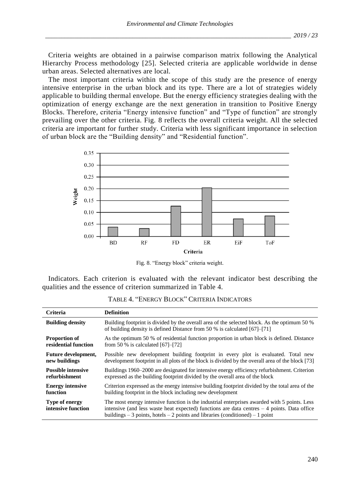Criteria weights are obtained in a pairwise comparison matrix following the Analytical Hierarchy Process methodology [25]. Selected criteria are applicable worldwide in dense urban areas. Selected alternatives are local.

The most important criteria within the scope of this study are the presence of energy intensive enterprise in the urban block and its type. There are a lot of strategies widely applicable to building thermal envelope. But the energy efficiency strategies dealing with the optimization of energy exchange are the next generation in transition to Positive Energy Blocks. Therefore, criteria "Energy intensive function" and "Type of function" are strongly prevailing over the other criteria. Fig. 8 reflects the overall criteria weight. All the selected criteria are important for further study. Criteria with less significant importance in selection of urban block are the "Building density" and "Residential function".



Fig. 8. "Energy block" criteria weight.

Indicators. Each criterion is evaluated with the relevant indicator best describing the qualities and the essence of criterion summarized in Table 4.

| <b>Criteria</b>                      | <b>Definition</b>                                                                                                                                                                                                                                                                |
|--------------------------------------|----------------------------------------------------------------------------------------------------------------------------------------------------------------------------------------------------------------------------------------------------------------------------------|
| <b>Building density</b>              | Building footprint is divided by the overall area of the selected block. As the optimum 50 %<br>of building density is defined Distance from 50 % is calculated [67]–[71]                                                                                                        |
| <b>Proportion of</b>                 | As the optimum 50 % of residential function proportion in urban block is defined. Distance                                                                                                                                                                                       |
| residential function                 | from 50 % is calculated $[67]-[72]$                                                                                                                                                                                                                                              |
| <b>Future development,</b>           | Possible new development building footprint in every plot is evaluated. Total new                                                                                                                                                                                                |
| new buildings                        | development footprint in all plots of the block is divided by the overall area of the block [73]                                                                                                                                                                                 |
| <b>Possible intensive</b>            | Buildings 1960–2000 are designated for intensive energy efficiency refurbishment. Criterion                                                                                                                                                                                      |
| refurbishment                        | expressed as the building footprint divided by the overall area of the block                                                                                                                                                                                                     |
| <b>Energy intensive</b>              | Criterion expressed as the energy intensive building footprint divided by the total area of the                                                                                                                                                                                  |
| function                             | building footprint in the block including new development                                                                                                                                                                                                                        |
| Type of energy<br>intensive function | The most energy intensive function is the industrial enterprises awarded with 5 points. Less<br>intensive (and less waste heat expected) functions are data centres $-4$ points. Data office<br>buildings $-3$ points, hotels $-2$ points and libraries (conditioned) $-1$ point |

TABLE 4. "ENERGY BLOCK" CRITERIA INDICATORS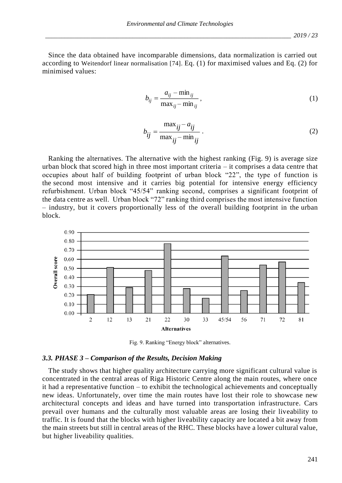Since the data obtained have incomparable dimensions, data normalization is carried out according to Weitendorf linear normalisation [74]. Eq. (1) for maximised values and Eq. (2) for minimised values:

$$
b_{ij} = \frac{a_{ij} - \min_{ij}}{\max_{ij} - \min_{ij}},
$$
\n(1)

$$
b_{ij} = \frac{\max_{ij} - a_{ij}}{\max_{ij} - \min_{ij}}.
$$
\n(2)

Ranking the alternatives. The alternative with the highest ranking (Fig. 9) is average size urban block that scored high in three most important criteria – it comprises a data centre that occupies about half of building footprint of urban block "22", the type of function is the second most intensive and it carries big potential for intensive energy efficiency refurbishment. Urban block "45/54" ranking second, comprises a significant footprint of the data centre as well. Urban block "72" ranking third comprises the most intensive function – industry, but it covers proportionally less of the overall building footprint in the urban block.



Fig. 9. Ranking "Energy block" alternatives.

#### *3.3. PHASE 3 – Comparison of the Results, Decision Making*

The study shows that higher quality architecture carrying more significant cultural value is concentrated in the central areas of Riga Historic Centre along the main routes, where once it had a representative function – to exhibit the technological achievements and conceptually new ideas. Unfortunately, over time the main routes have lost their role to showcase new architectural concepts and ideas and have turned into transportation infrastructure. Cars prevail over humans and the culturally most valuable areas are losing their liveability to traffic. It is found that the blocks with higher liveability capacity are located a bit away from the main streets but still in central areas of the RHC. These blocks have a lower cultural value, but higher liveability qualities.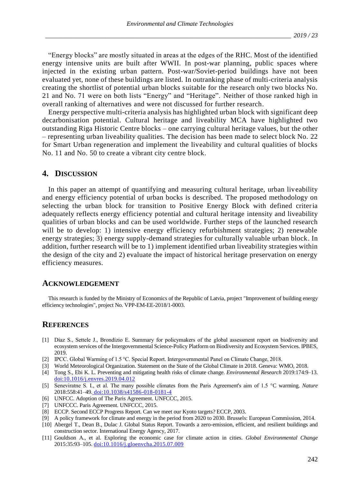"Energy blocks" are mostly situated in areas at the edges of the RHC. Most of the identified energy intensive units are built after WWII. In post-war planning, public spaces where injected in the existing urban pattern. Post-war/Soviet-period buildings have not been evaluated yet, none of these buildings are listed. In outranking phase of multi-criteria analysis creating the shortlist of potential urban blocks suitable for the research only two blocks No. 21 and No. 71 were on both lists "Energy" and "Heritage". Neither of those ranked high in overall ranking of alternatives and were not discussed for further research.

Energy perspective multi-criteria analysis has highlighted urban block with significant deep decarbonisation potential. Cultural heritage and liveability MCA have highlighted two outstanding Riga Historic Centre blocks – one carrying cultural heritage values, but the other – representing urban liveability qualities. The decision has been made to select block No. 22 for Smart Urban regeneration and implement the liveability and cultural qualities of blocks No. 11 and No. 50 to create a vibrant city centre block.

#### **4. DISCUSSION**

In this paper an attempt of quantifying and measuring cultural heritage, urban liveability and energy efficiency potential of urban bocks is described. The proposed methodology on selecting the urban block for transition to Positive Energy Block with defined criteria adequately reflects energy efficiency potential and cultural heritage intensity and liveability qualities of urban blocks and can be used worldwide. Further steps of the launched research will be to develop: 1) intensive energy efficiency refurbishment strategies; 2) renewable energy strategies; 3) energy supply-demand strategies for culturally valuable urban block. In addition, further research will be to 1) implement identified urban liveability strategies within the design of the city and 2) evaluate the impact of historical heritage preservation on energy efficiency measures.

#### **ACKNOWLEDGEMENT**

This research is funded by the Ministry of Economics of the Republic of Latvia, project "Improvement of building energy efficiency technologies", project No. VPP-EM-EE-2018/1-0003.

# **REFERENCES**

- [1] Díaz S., Settele J., Brondízio E. Summary for policymakers of the global assessment report on biodiversity and ecosystem services of the Intergovernmental Science-Policy Platform on Biodiversity and Ecosystem Services. IPBES, 2019.
- [2] IPCC. Global Warming of 1.5 °C. Special Report. Intergovernmental Panel on Climate Change, 2018.
- [3] World Meteorological Organization. Statement on the State of the Global Climate in 2018. Geneva: WMO, 2018.
- [4] Tong S., Ebi K. L. Preventing and mitigating health risks of climate change. *Environmental Research* 2019:174:9–13. [doi:10.1016/j.envres.2019.04.012](https://doi.org/10.1016/j.envres.2019.04.012)
- [5] Seneviratne S. I., et al. The many possible climates from the Paris Agreement's aim of 1.5 °C warming. *Nature* 2018:558:41–49. do[i:10.1038/s41586-018-0181-4](https://doi.org/10.1038/s41586-018-0181-4)
- [6] UNFCC. Adoption of The Paris Agreement. UNFCCC, 2015.
- [7] UNFCCC. Paris Agreement. UNFCCC, 2015.
- [8] ECCP. Second ECCP Progress Report. Can we meet our Kyoto targets? ECCP, 2003.
- [9] A policy framework for climate and energy in the period from 2020 to 2030. Brussels: European Commission, 2014.
- [10] Abergel T., Dean B., Dulac J. Global Status Report. Towards a zero-emission, efficient, and resilient buildings and construction sector. International Energy Agency, 2017.
- [11] Gouldson A., et al. Exploring the economic case for climate action in cities. *Global Environmental Change* 2015:35:93–105[. doi:10.1016/j.gloenvcha.2015.07.009](https://doi.org/10.1016/j.gloenvcha.2015.07.009)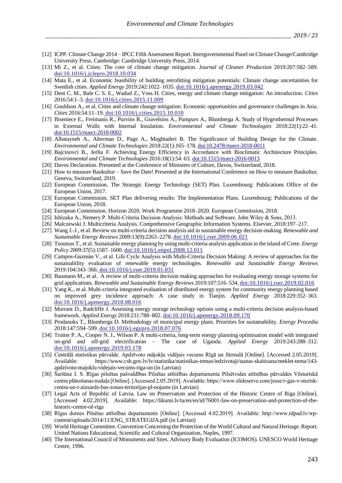- [12] ICPP. Climate Change 2014 IPCC Fifth Assessment Report. Intergovernmental Panel on Climate Change/Cambridge University Press. Cambridge: Cambridge University Press, 2014.
- [13] Mi Z., et al. Cities: The core of climate change mitigation. *Journal of Cleaner Production* 2019:207:582–589. [doi:10.1016/j.jclepro.2018.10.034](https://doi.org/10.1016/j.jclepro.2018.10.034)
- [14] Mata E., et al. Economic feasibility of building retrofitting mitigation potentials: Climate change uncertainties for Swedish cities. *Applied Energy* 2019:242:1022–1035[. doi:10.1016/j.apenergy.2019.03.042](https://doi.org/10.1016/j.apenergy.2019.03.042)
- [15] Dent C. M., Bale C. S. E., Wadud Z., Voss H. Cities, energy and climate change mitigation: An introduction. *Cities* 2016:54:1–3[. doi:10.1016/j.cities.2015.11.009](https://doi.org/10.1016/j.cities.2015.11.009)
- [16] Gouldson A., et al. Cities and climate change mitigation: Economic opportunities and governance challenges in Asia. *Cities* 2016:54:11–19. [doi:10.1016/j.cities.2015.10.010](https://doi.org/10.1016/j.cities.2015.10.010)
- [17] Biseniece E., Freimanis R., Purvins R., Gravelsins A., Pumpurs A., Blumberga A. Study of Hygrothermal Processes in External Walls with Internal Insulation. *Environmental and Climate Technologies* 2018:22(1):22–41. [doi:10.1515/rtuect-2018-0002](https://doi.org/10.1515/rtuect-2018-0002)
- [18] Albatayneh A., Alterman D., Page A., Moghtaderi B. The Significance of Building Design for the Climate. *Environmental and Climate Technologies* 2018:22(1):165–178[. doi:10.2478/rtuect-2018-0011](https://doi.org/10.2478/rtuect-2018-0011)
- [19] Bajcinovci B., Jerliu F. Achieving Energy Efficiency in Accordance with Bioclimatic Architecture Principles. *Environmental and Climate Technologies* 2016:18(1):54–63[. doi:10.1515/rtuect-2016-0013](https://doi.org/10.1515/rtuect-2016-0013)
- [20] Davos Declaration. Presented at the Conference of Ministers of Culture, Davos, Switzerland, 2018.
- [21] How to measure Baukultur Save the Date! Presented at the International Conference on How to measure Baukultur, Geneva, Switzerland, 2019.
- [22] European Commission. The Strategic Energy Technology (SET) Plan. Luxembourg: Publications Office of the European Union, 2017.
- [23] European Commission. SET Plan delivering results: The Implementation Plans. Luxembourg: Publications of the European Union, 2018.
- [24] European Commission. Horizon 2020. Work Programme 2018–2020. European Commission, 2018.
- [25] Ishizaka A., Nemery P. Multi-Criteria Decision Analysis: Methods and Software. John Wiley & Sons, 2013.
- [26] Malczewski J. Multicriteria Analysis. Comprehensive Geographic Information Systems. Elsevier, 2018:197–217.
- [27] Wang J.-J., et al. Review on multi-criteria decision analysis aid in sustainable energy decision-making. *Renewable and Sustainable Energy Reviews* 2009:13(9):2263–2278[. doi:10.1016/j.rser.2009.06.021](https://doi.org/10.1016/j.rser.2009.06.021)
- [28] Tsoutsos T., et al. Sustainable energy planning by using multi-criteria analysis application in the island of Crete. *Energy Policy* 2009:37(5):1587–1600. [doi:10.1016/j.enpol.2008.12.011](https://doi.org/10.1016/j.enpol.2008.12.011)
- [29] Campos-Guzmán V., et al. Life Cycle Analysis with Multi-Criteria Decision Making: A review of approaches for the sustainability evaluation of renewable energy technologies. *Renewable and Sustainable Energy Reviews* 2019:104:343–366. [doi:10.1016/j.rser.2019.01.031](https://doi.org/10.1016/j.rser.2019.01.031)
- [30] Baumann M., et al. A review of multi-criteria decision making approaches for evaluating energy storage systems for grid applications. *Renewable and Sustainable Energy Reviews* 2019:107:516–534[. doi:10.1016/j.rser.2019.02.016](https://doi.org/10.1016/j.rser.2019.02.016)
- [31] Yang K., et al. Multi-criteria integrated evaluation of distributed energy system for community energy planning based on improved grey incidence approach: A case study in Tianjin. *Applied Energy* 2018:229:352–363. [doi:10.1016/j.apenergy.2018.08.016](https://doi.org/10.1016/j.apenergy.2018.08.016)
- [32] Murrant D., Radcliffe J. Assessing energy storage technology options using a multi-criteria decision analysis-based framework. *Applied Energy* 2018:231:788–802. [doi:10.1016/j.apenergy.2018.09.170](https://doi.org/10.1016/j.apenergy.2018.09.170)
- [33] Prodanuks T., Blumberga D. Methodology of municipal energy plans. Priorities for sustainability. *Energy Procedia* 2018:147:594–599[. doi:10.1016/j.egypro.2018.07.076](https://doi.org/10.1016/j.egypro.2018.07.076)
- [34] Trotter P. A., Cooper N. J., Wilson P. A multi-criteria, long-term energy planning optimisation model with integrated on-grid and off-grid electrification – The case of Uganda. *Applied Energy* 2019:243:288–312. [doi:10.1016/j.apenergy.2019.03.178](https://doi.org/10.1016/j.apenergy.2019.03.178)
- [35] Centrālā statistikas pārvalde. Apdzīvoto mājokļu vidējais vecums Rīgā un Jūrmalā [Online]. [Accessed 2.05.2019]. Available: https://www.csb.gov.lv/lv/statistika/statistikas-temas/iedzivotaji/tautas-skaitisana/meklet-tema/143 apdzivoto-majoklu-videjais-vecums-riga-un (in Latvian)
- [36] Šaršūne I. S. Rīgas pilsētas pašvaldības Pilsētas attīstības departamenta Pilsētvides attīstības pārvaldes Vēsturiskā centra plānošanas nodaļa [Online]. [Accessed 2.05.2019]. Available: https://www.slideserve.com/jesse/r-gas-v-sturiskcentra-un-t-aizsardz-bas-zonas-teritorijas-pl-nojums (in Latvian)
- [37] Legal Acts of Republic of Latvia. Law on Preservation and Protection of the Historic Centre of Riga [Online]. [Accessed 4.02.2019]. Available: https://likumi.lv/ta/en/en/id/76001-law-on-preservation-and-protection-of-thehistoric-centre-of-riga
- [38] Rīgas domes Pilsētas attīstības departaments [Online]. [Accessed 4.02.2019]. Available: http://www.rdpad.lv/wpcontent/uploads/2014/11/ENG\_STRATEGIJA.pdf (in Latvian)
- [39] World Heritage Committee. Convention Concerning the Protection of the World Cultural and Natural Heritage. Report. United Nations Educational, Scientific and Cultural Organization, Naples, 1997.
- [40] The International Council of Monuments and Sites. Advisory Body Evaluation (ICOMOS). UNESCO World Heritage Centre, 1996.